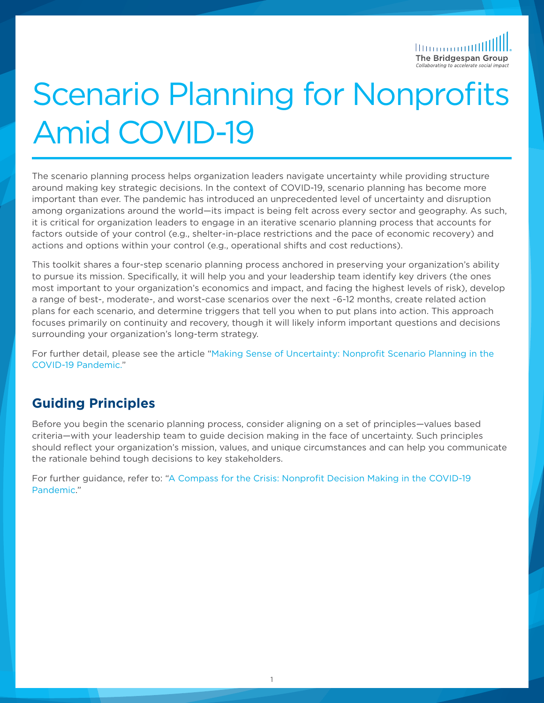<u>llummutt</u> The Bridgespan Group

# Scenario Planning for Nonprofits Amid COVID-19

The scenario planning process helps organization leaders navigate uncertainty while providing structure around making key strategic decisions. In the context of COVID-19, scenario planning has become more important than ever. The pandemic has introduced an unprecedented level of uncertainty and disruption among organizations around the world—its impact is being felt across every sector and geography. As such, it is critical for organization leaders to engage in an iterative scenario planning process that accounts for factors outside of your control (e.g., shelter-in-place restrictions and the pace of economic recovery) and actions and options within your control (e.g., operational shifts and cost reductions).

This toolkit shares a four-step scenario planning process anchored in preserving your organization's ability to pursue its mission. Specifically, it will help you and your leadership team identify key drivers (the ones most important to your organization's economics and impact, and facing the highest levels of risk), develop a range of best-, moderate-, and worst-case scenarios over the next ~6-12 months, create related action plans for each scenario, and determine triggers that tell you when to put plans into action. This approach focuses primarily on continuity and recovery, though it will likely inform important questions and decisions surrounding your organization's long-term strategy.

For further detail, please see the article ["Making Sense of Uncertainty: Nonprofit Scenario Planning in the](https://www.bridgespan.org/insights/library/strategy-development/nonprofit-scenario-planning-covid-19)  [COVID-19 Pandemic."](https://www.bridgespan.org/insights/library/strategy-development/nonprofit-scenario-planning-covid-19)

#### **Guiding Principles**

Before you begin the scenario planning process, consider aligning on a set of principles—values based criteria—with your leadership team to guide decision making in the face of uncertainty. Such principles should reflect your organization's mission, values, and unique circumstances and can help you communicate the rationale behind tough decisions to key stakeholders.

For further guidance, refer to: ["A Compass for the Crisis: Nonprofit Decision Making in the COVID-19](https://www.bridgespan.org/insights/library/organizational-effectiveness/nonprofit-decision-making-in-covid-19-crisis)  [Pandemic.](https://www.bridgespan.org/insights/library/organizational-effectiveness/nonprofit-decision-making-in-covid-19-crisis)"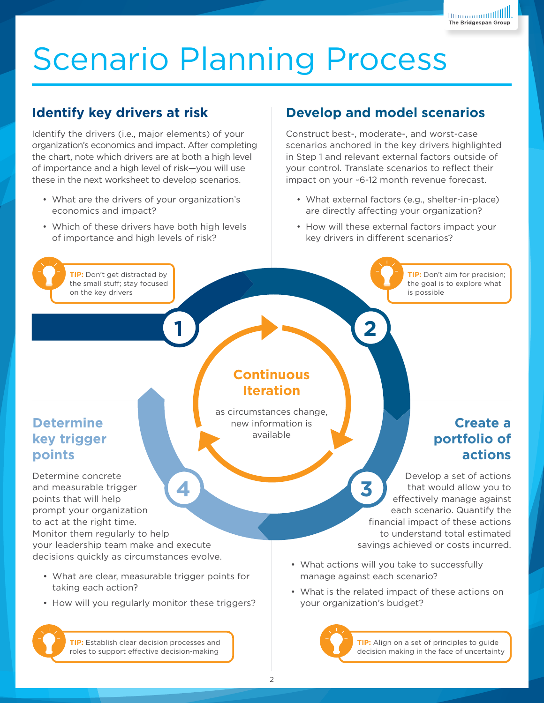# Scenario Planning Process

### **Identify key drivers at risk**

Identify the drivers (i.e., major elements) of your organization's economics and impact. After completing the chart, note which drivers are at both a high level of importance and a high level of risk—you will use these in the next worksheet to develop scenarios.

- What are the drivers of your organization's economics and impact?
- Which of these drivers have both high levels of importance and high levels of risk?

### **Develop and model scenarios**

Construct best-, moderate-, and worst-case scenarios anchored in the key drivers highlighted in Step 1 and relevant external factors outside of your control. Translate scenarios to reflect their impact on your ~6-12 month revenue forecast.

- What external factors (e.g., shelter-in-place) are directly affecting your organization?
- How will these external factors impact your key drivers in different scenarios?

**TIP:** Don't get distracted by the small stuff; stay focused on the key drivers

#### **TIP:** Don't aim for precision; the goal is to explore what is possible

### **Determine key trigger points**

Determine concrete and measurable trigger points that will help prompt your organization to act at the right time. Monitor them regularly to help your leadership team make and execute decisions quickly as circumstances evolve. **4 3**

- What are clear, measurable trigger points for taking each action?
- How will you regularly monitor these triggers?

**TIP:** Establish clear decision processes and roles to support effective decision-making

### **Continuous Iteration**

**1 2 2 2** 

as circumstances change, new information is available

### **Create a portfolio of actions**

Develop a set of actions that would allow you to effectively manage against each scenario. Quantify the financial impact of these actions to understand total estimated savings achieved or costs incurred.

- What actions will you take to successfully manage against each scenario?
- What is the related impact of these actions on your organization's budget?

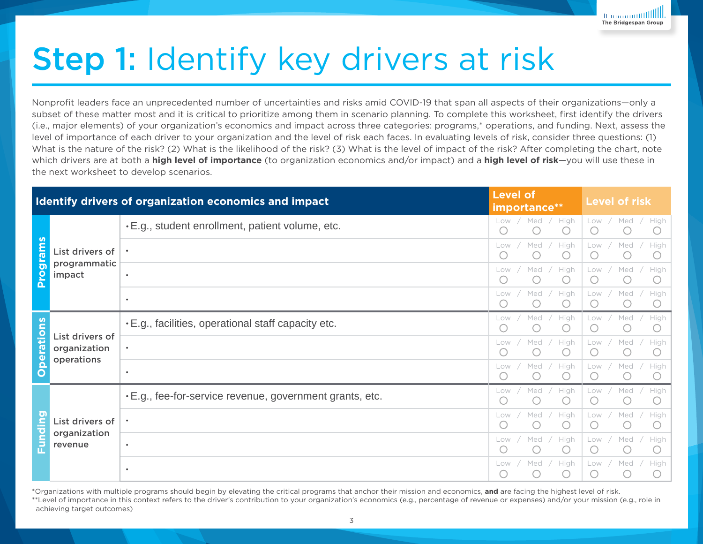# Step 1: Identify key drivers at risk

Nonprofit leaders face an unprecedented number of uncertainties and risks amid COVID-19 that span all aspects of their organizations—only a subset of these matter most and it is critical to prioritize among them in scenario planning. To complete this worksheet, first identify the drivers (i.e., major elements) of your organization's economics and impact across three categories: programs,\* operations, and funding. Next, assess the level of importance of each driver to your organization and the level of risk each faces. In evaluating levels of risk, consider three questions: (1) What is the nature of the risk? (2) What is the likelihood of the risk? (3) What is the level of impact of the risk? After completing the chart, note which drivers are at both a **high level of importance** (to organization economics and/or impact) and a **high level of risk**—you will use these in the next worksheet to develop scenarios.

|                                |                                               | Identify drivers of organization economics and impact     | <b>Level of</b><br>importance**                                     | <b>Level of risk</b>                                                      |
|--------------------------------|-----------------------------------------------|-----------------------------------------------------------|---------------------------------------------------------------------|---------------------------------------------------------------------------|
| 何<br>កា<br>$\circ$<br>$\Omega$ | List drivers of<br>programmatic<br>impact     | .E.g., student enrollment, patient volume, etc.           | Med<br>High<br>Low /<br>$(\ )$                                      | Low /<br>Med /<br>High                                                    |
|                                |                                               |                                                           | High<br>Med<br>Low<br>$\left( \begin{array}{c} \end{array} \right)$ | Med<br>High<br>Low /<br>$\left( \begin{array}{c} \end{array} \right)$     |
|                                |                                               | $\bullet$                                                 | High<br>Med<br>Low<br>$\bigcirc$                                    | Med<br>High<br>Low /<br>$\left( \begin{array}{c} \end{array} \right)$     |
|                                |                                               | $\bullet$                                                 | High<br>Med<br>Low<br>$(\ )$                                        | Med<br>Low<br>High<br>$\left( \begin{array}{c} \cdot \end{array} \right)$ |
| ъ<br>Œσ<br>O                   | List drivers of<br>organization<br>operations | $\cdot$ E.g., facilities, operational staff capacity etc. | High<br>Med<br>Low<br>$\bigcap$                                     | Med<br>Low<br>High<br>$\left(\begin{array}{c} \end{array}\right)$         |
|                                |                                               |                                                           | High<br>Med<br>Low<br>$\left( \quad \right)$                        | Low<br>Med<br>High<br>( )                                                 |
|                                |                                               | $\bullet$                                                 | High<br>Med<br>Low                                                  | Low<br>Med<br>High                                                        |
| п                              | List drivers of<br>organization<br>revenue    | .E.g., fee-for-service revenue, government grants, etc.   | High<br>Med<br>Low                                                  | Med<br>High<br>Low                                                        |
|                                |                                               |                                                           | High<br>Med<br>Low<br>$\left( \quad \right)$                        | Low<br>Med<br>High<br>$\left( \quad \right)$                              |
|                                |                                               | $\bullet$                                                 | High<br>Med<br>Low<br>$\left( \quad \right)$                        | Low<br>Med<br>High<br>$\left( \quad \right)$                              |
|                                |                                               | $\bullet$                                                 | High<br>Med<br>Low<br>$\left( \begin{array}{c} \end{array} \right)$ | Med<br>High<br>Low<br>C                                                   |

\*Organizations with multiple programs should begin by elevating the critical programs that anchor their mission and economics, **and** are facing the highest level of risk. \*\*Level of importance in this context refers to the driver's contribution to your organization's economics (e.g., percentage of revenue or expenses) and/or your mission (e.g., role in achieving target outcomes)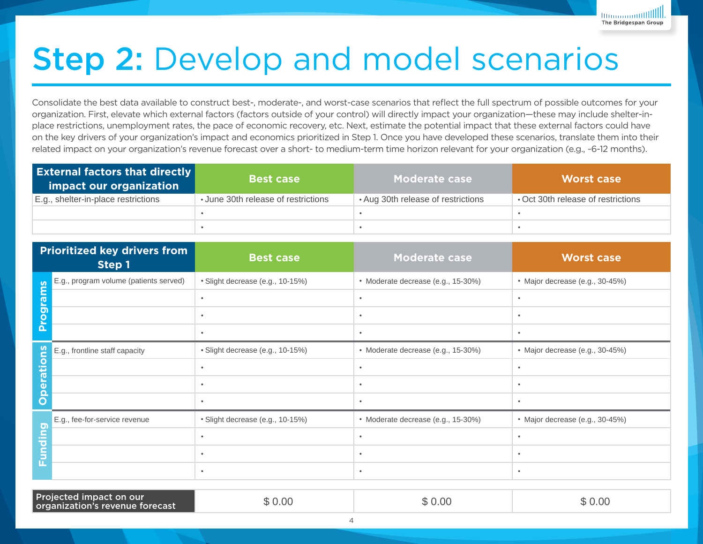

# Step 2: Develop and model scenarios

Consolidate the best data available to construct best-, moderate-, and worst-case scenarios that reflect the full spectrum of possible outcomes for your organization. First, elevate which external factors (factors outside of your control) will directly impact your organization—these may include shelter-inplace restrictions, unemployment rates, the pace of economic recovery, etc. Next, estimate the potential impact that these external factors could have on the key drivers of your organization's impact and economics prioritized in Step 1. Once you have developed these scenarios, translate them into their related impact on your organization's revenue forecast over a short- to medium-term time horizon relevant for your organization (e.g., ~6-12 months).

| <b>External factors that directly</b><br>impact our organization | <b>Best case</b>                    | <b>Moderate case</b>               | <b>Worst case</b>                  |  |
|------------------------------------------------------------------|-------------------------------------|------------------------------------|------------------------------------|--|
| E.g., shelter-in-place restrictions                              | • June 30th release of restrictions | • Aug 30th release of restrictions | • Oct 30th release of restrictions |  |
|                                                                  |                                     |                                    |                                    |  |
|                                                                  |                                     |                                    |                                    |  |

| E.g., shelter-in-place restrictions                        |                                        | • June 30th release of restrictions | • Aug 30th release of restrictions | • Oct 30th release of restrictions |
|------------------------------------------------------------|----------------------------------------|-------------------------------------|------------------------------------|------------------------------------|
|                                                            |                                        | $\bullet$                           | $\bullet$                          | $\bullet$                          |
|                                                            |                                        | $\bullet$                           | $\bullet$                          | $\bullet$                          |
|                                                            |                                        |                                     |                                    |                                    |
| <b>Prioritized key drivers from</b><br>Step 1              |                                        | <b>Best case</b>                    | <b>Moderate case</b>               | <b>Worst case</b>                  |
| S                                                          | E.g., program volume (patients served) | · Slight decrease (e.g., 10-15%)    | · Moderate decrease (e.g., 15-30%) | · Major decrease (e.g., 30-45%)    |
| <b>Program</b>                                             |                                        | $\bullet$                           | $\bullet$                          | $\bullet$                          |
|                                                            |                                        | $\bullet$                           | $\bullet$                          | $\bullet$                          |
|                                                            |                                        | $\bullet$                           | $\bullet$                          | $\bullet$                          |
| <u>SU</u>                                                  | E.g., frontline staff capacity         | · Slight decrease (e.g., 10-15%)    | • Moderate decrease (e.g., 15-30%) | • Major decrease (e.g., 30-45%)    |
| ratio                                                      |                                        | $\bullet$                           | $\bullet$                          |                                    |
| $\mathbf{\Omega}$<br>$\bar{\mathbf{Q}}$                    |                                        | $\bullet$                           | $\bullet$                          |                                    |
| Ō                                                          |                                        | $\bullet$                           | $\bullet$                          | $\bullet$                          |
|                                                            | E.g., fee-for-service revenue          | · Slight decrease (e.g., 10-15%)    | · Moderate decrease (e.g., 15-30%) | · Major decrease (e.g., 30-45%)    |
| guib<br>G<br>Б                                             |                                        | $\bullet$                           | $\bullet$                          | $\bullet$                          |
|                                                            |                                        | $\bullet$                           | $\bullet$                          | $\bullet$                          |
| ш                                                          |                                        | $\bullet$                           | $\bullet$                          | $\bullet$                          |
|                                                            |                                        |                                     |                                    |                                    |
| Projected impact on our<br>organization's revenue forecast |                                        | \$0.00                              | \$0.00                             | \$0.00                             |

Projected impact on our organization's revenue forecast

| × |
|---|
|---|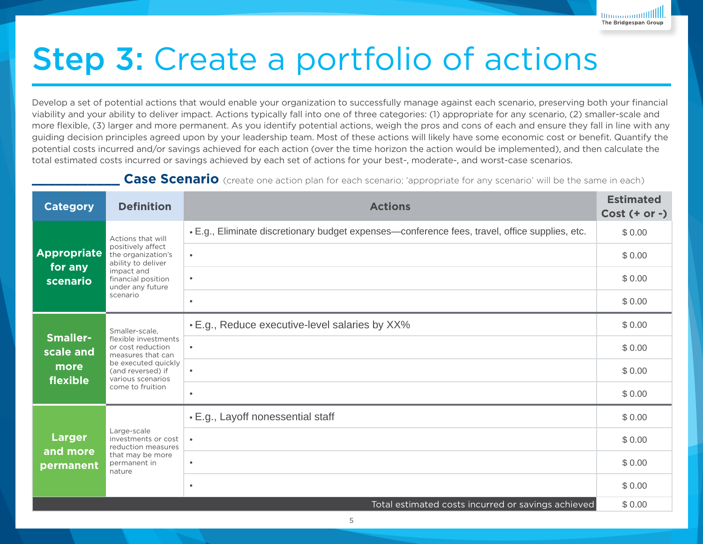# Step 3: Create a portfolio of actions

Develop a set of potential actions that would enable your organization to successfully manage against each scenario, preserving both your financial viability and your ability to deliver impact. Actions typically fall into one of three categories: (1) appropriate for any scenario, (2) smaller-scale and more flexible, (3) larger and more permanent. As you identify potential actions, weigh the pros and cons of each and ensure they fall in line with any guiding decision principles agreed upon by your leadership team. Most of these actions will likely have some economic cost or benefit. Quantify the potential costs incurred and/or savings achieved for each action (over the time horizon the action would be implemented), and then calculate the total estimated costs incurred or savings achieved by each set of actions for your best-, moderate-, and worst-case scenarios.

**Case Scenario** (create one action plan for each scenario; 'appropriate for any scenario' will be the same in each)

| <b>Category</b>                                    | <b>Definition</b><br><b>Actions</b>                                                                                                                                   |                                                                                                | <b>Estimated</b><br>$Cost (+ or -)$ |
|----------------------------------------------------|-----------------------------------------------------------------------------------------------------------------------------------------------------------------------|------------------------------------------------------------------------------------------------|-------------------------------------|
|                                                    | Actions that will<br>positively affect<br>the organization's<br>ability to deliver<br>impact and<br>financial position<br>under any future<br>scenario                | . E.g., Eliminate discretionary budget expenses—conference fees, travel, office supplies, etc. | \$0.00                              |
| <b>Appropriate</b>                                 |                                                                                                                                                                       | $\bullet$                                                                                      | \$0.00                              |
| for any<br>scenario                                |                                                                                                                                                                       | $\bullet$                                                                                      | \$0.00                              |
|                                                    |                                                                                                                                                                       | $\bullet$                                                                                      | \$0.00                              |
|                                                    | Smaller-scale.<br>flexible investments<br>or cost reduction<br>measures that can<br>be executed quickly<br>(and reversed) if<br>various scenarios<br>come to fruition | . E.g., Reduce executive-level salaries by XX%                                                 | \$0.00                              |
| <b>Smaller-</b><br>scale and                       |                                                                                                                                                                       | $\bullet$                                                                                      | \$0.00                              |
| more<br>flexible                                   |                                                                                                                                                                       | $\bullet$                                                                                      | \$0.00                              |
|                                                    |                                                                                                                                                                       | $\bullet$                                                                                      | \$0.00                              |
|                                                    | Large-scale<br>investments or cost<br>reduction measures<br>that may be more<br>permanent in<br>nature                                                                | • E.g., Layoff nonessential staff                                                              | \$0.00                              |
| <b>Larger</b><br>and more                          |                                                                                                                                                                       | $\bullet$                                                                                      | \$0.00                              |
| permanent                                          |                                                                                                                                                                       | $\bullet$                                                                                      | \$0.00                              |
|                                                    |                                                                                                                                                                       | $\bullet$                                                                                      | \$0.00                              |
| Total estimated costs incurred or savings achieved |                                                                                                                                                                       |                                                                                                | \$0.00                              |